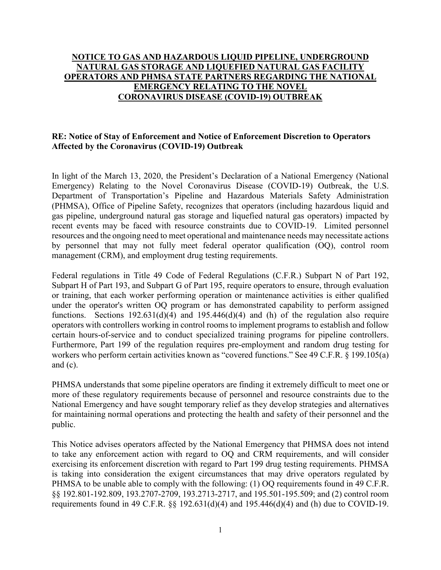## **NOTICE TO GAS AND HAZARDOUS LIQUID PIPELINE, UNDERGROUND NATURAL GAS STORAGE AND LIQUEFIED NATURAL GAS FACILITY OPERATORS AND PHMSA STATE PARTNERS REGARDING THE NATIONAL EMERGENCY RELATING TO THE NOVEL CORONAVIRUS DISEASE (COVID-19) OUTBREAK**

## **RE: Notice of Stay of Enforcement and Notice of Enforcement Discretion to Operators Affected by the Coronavirus (COVID-19) Outbreak**

In light of the March 13, 2020, the President's Declaration of a National Emergency (National Emergency) Relating to the Novel Coronavirus Disease (COVID-19) Outbreak, the U.S. Department of Transportation's Pipeline and Hazardous Materials Safety Administration (PHMSA), Office of Pipeline Safety, recognizes that operators (including hazardous liquid and gas pipeline, underground natural gas storage and liquefied natural gas operators) impacted by recent events may be faced with resource constraints due to COVID-19. Limited personnel resources and the ongoing need to meet operational and maintenance needs may necessitate actions by personnel that may not fully meet federal operator qualification (OQ), control room management (CRM), and employment drug testing requirements.

Federal regulations in Title 49 Code of Federal Regulations (C.F.R.) Subpart N of Part 192, Subpart H of Part 193, and Subpart G of Part 195, require operators to ensure, through evaluation or training, that each worker performing operation or maintenance activities is either qualified under the operator's written OQ program or has demonstrated capability to perform assigned functions. Sections  $192.631(d)(4)$  and  $195.446(d)(4)$  and (h) of the regulation also require operators with controllers working in control rooms to implement programs to establish and follow certain hours-of-service and to conduct specialized training programs for pipeline controllers. Furthermore, Part 199 of the regulation requires pre-employment and random drug testing for workers who perform certain activities known as "covered functions." See 49 C.F.R. § 199.105(a) and (c).

PHMSA understands that some pipeline operators are finding it extremely difficult to meet one or more of these regulatory requirements because of personnel and resource constraints due to the National Emergency and have sought temporary relief as they develop strategies and alternatives for maintaining normal operations and protecting the health and safety of their personnel and the public.

This Notice advises operators affected by the National Emergency that PHMSA does not intend to take any enforcement action with regard to OQ and CRM requirements, and will consider exercising its enforcement discretion with regard to Part 199 drug testing requirements. PHMSA is taking into consideration the exigent circumstances that may drive operators regulated by PHMSA to be unable able to comply with the following: (1) OQ requirements found in 49 C.F.R. §§ 192.801-192.809, 193.2707-2709, 193.2713-2717, and 195.501-195.509; and (2) control room requirements found in 49 C.F.R.  $\S$  192.631(d)(4) and 195.446(d)(4) and (h) due to COVID-19.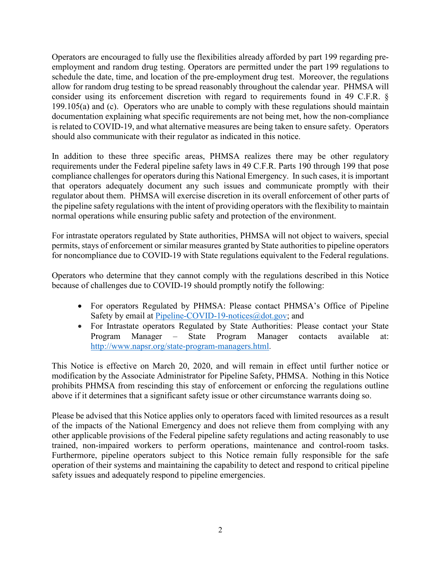Operators are encouraged to fully use the flexibilities already afforded by part 199 regarding preemployment and random drug testing. Operators are permitted under the part 199 regulations to schedule the date, time, and location of the pre-employment drug test. Moreover, the regulations allow for random drug testing to be spread reasonably throughout the calendar year. PHMSA will consider using its enforcement discretion with regard to requirements found in 49 C.F.R. § 199.105(a) and (c). Operators who are unable to comply with these regulations should maintain documentation explaining what specific requirements are not being met, how the non-compliance is related to COVID-19, and what alternative measures are being taken to ensure safety. Operators should also communicate with their regulator as indicated in this notice.

In addition to these three specific areas, PHMSA realizes there may be other regulatory requirements under the Federal pipeline safety laws in 49 C.F.R. Parts 190 through 199 that pose compliance challenges for operators during this National Emergency. In such cases, it is important that operators adequately document any such issues and communicate promptly with their regulator about them. PHMSA will exercise discretion in its overall enforcement of other parts of the pipeline safety regulations with the intent of providing operators with the flexibility to maintain normal operations while ensuring public safety and protection of the environment.

For intrastate operators regulated by State authorities, PHMSA will not object to waivers, special permits, stays of enforcement or similar measures granted by State authorities to pipeline operators for noncompliance due to COVID-19 with State regulations equivalent to the Federal regulations.

Operators who determine that they cannot comply with the regulations described in this Notice because of challenges due to COVID-19 should promptly notify the following:

- For operators Regulated by PHMSA: Please contact PHMSA's Office of Pipeline Safety by email at **Pipeline-COVID-19-notices@dot.gov**; and
- For Intrastate operators Regulated by State Authorities: Please contact your State Program Manager – State Program Manager contacts available at: [http://www.napsr.org/state-program-managers.html.](http://www.napsr.org/state-program-managers.html)

This Notice is effective on March 20, 2020, and will remain in effect until further notice or modification by the Associate Administrator for Pipeline Safety, PHMSA. Nothing in this Notice prohibits PHMSA from rescinding this stay of enforcement or enforcing the regulations outline above if it determines that a significant safety issue or other circumstance warrants doing so.

Please be advised that this Notice applies only to operators faced with limited resources as a result of the impacts of the National Emergency and does not relieve them from complying with any other applicable provisions of the Federal pipeline safety regulations and acting reasonably to use trained, non-impaired workers to perform operations, maintenance and control-room tasks. Furthermore, pipeline operators subject to this Notice remain fully responsible for the safe operation of their systems and maintaining the capability to detect and respond to critical pipeline safety issues and adequately respond to pipeline emergencies.